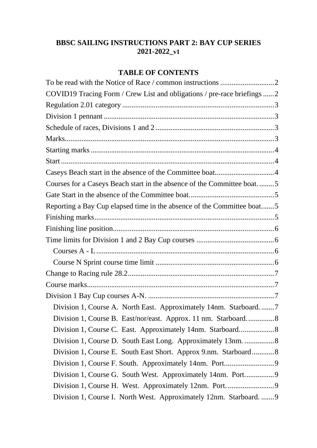# **BBSC SAILING INSTRUCTIONS PART 2: BAY CUP SERIES 2021-2022\_v1**

# **TABLE OF CONTENTS**

| COVID19 Tracing Form / Crew List and obligations / pre-race briefings 2 |  |
|-------------------------------------------------------------------------|--|
|                                                                         |  |
|                                                                         |  |
|                                                                         |  |
|                                                                         |  |
|                                                                         |  |
|                                                                         |  |
|                                                                         |  |
| Courses for a Caseys Beach start in the absence of the Committee boat5  |  |
|                                                                         |  |
| Reporting a Bay Cup elapsed time in the absence of the Committee boat5  |  |
|                                                                         |  |
|                                                                         |  |
|                                                                         |  |
|                                                                         |  |
|                                                                         |  |
|                                                                         |  |
|                                                                         |  |
|                                                                         |  |
| Division 1, Course A. North East. Approximately 14nm. Starboard7        |  |
| Division 1, Course B. East/nor/east. Approx. 11 nm. Starboard8          |  |
| Division 1, Course C. East. Approximately 14nm. Starboard 8             |  |
| Division 1, Course D. South East Long. Approximately 13nm. 8            |  |
| Division 1, Course E. South East Short. Approx 9.nm. Starboard 8        |  |
|                                                                         |  |
| Division 1, Course G. South West. Approximately 14nm. Port9             |  |
|                                                                         |  |
| Division 1, Course I. North West. Approximately 12nm. Starboard.  9     |  |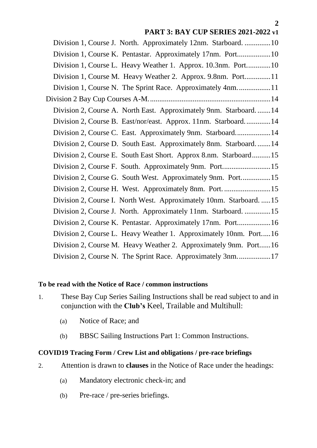| Division 1, Course J. North. Approximately 12nm. Starboard.  10      |
|----------------------------------------------------------------------|
| Division 1, Course K. Pentastar. Approximately 17nm. Port10          |
| Division 1, Course L. Heavy Weather 1. Approx. 10.3nm. Port10        |
| Division 1, Course M. Heavy Weather 2. Approx. 9.8nm. Port11         |
|                                                                      |
|                                                                      |
| Division 2, Course A. North East. Approximately 9nm. Starboard 14    |
| Division 2, Course B. East/nor/east. Approx. 11nm. Starboard14       |
| Division 2, Course C. East. Approximately 9nm. Starboard14           |
| Division 2, Course D. South East. Approximately 8nm. Starboard14     |
| Division 2, Course E. South East Short. Approx 8.nm. Starboard15     |
|                                                                      |
| Division 2, Course G. South West. Approximately 9nm. Port15          |
| Division 2, Course H. West. Approximately 8nm. Port.  15             |
| Division 2, Course I. North West. Approximately 10nm. Starboard.  15 |
| Division 2, Course J. North. Approximately 11nm. Starboard. 15       |
| Division 2, Course K. Pentastar. Approximately 17nm. Port 16         |
| Division 2, Course L. Heavy Weather 1. Approximately 10nm. Port16    |
| Division 2, Course M. Heavy Weather 2. Approximately 9nm. Port16     |
| Division 2, Course N. The Sprint Race. Approximately 3nm17           |
|                                                                      |

## <span id="page-1-0"></span>**To be read with the Notice of Race / common instructions**

- 1. These Bay Cup Series Sailing Instructions shall be read subject to and in conjunction with the **Club's** Keel, Trailable and Multihull:
	- (a) Notice of Race; and
	- (b) BBSC Sailing Instructions Part 1: Common Instructions.

### <span id="page-1-1"></span>**COVID19 Tracing Form / Crew List and obligations / pre-race briefings**

- 2. Attention is drawn to **clauses** in the Notice of Race under the headings:
	- (a) Mandatory electronic check-in; and
	- (b) Pre-race / pre-series briefings.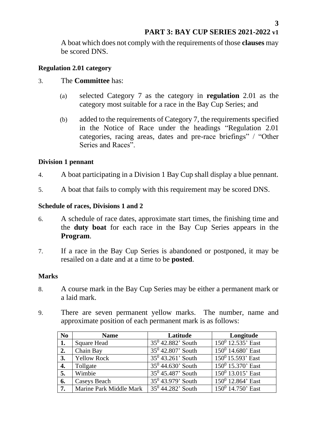A boat which does not comply with the requirements of those **clauses** may be scored DNS.

### <span id="page-2-0"></span>**Regulation 2.01 category**

### 3. The **Committee** has:

- (a) selected Category 7 as the category in **regulation** 2.01 as the category most suitable for a race in the Bay Cup Series; and
- (b) added to the requirements of Category 7, the requirements specified in the Notice of Race under the headings "Regulation 2.01 categories, racing areas, dates and pre-race briefings" / "Other Series and Races".

## <span id="page-2-1"></span>**Division 1 pennant**

- 4. A boat participating in a Division 1 Bay Cup shall display a blue pennant.
- 5. A boat that fails to comply with this requirement may be scored DNS.

## <span id="page-2-2"></span>**Schedule of races, Divisions 1 and 2**

- 6. A schedule of race dates, approximate start times, the finishing time and the **duty boat** for each race in the Bay Cup Series appears in the **Program**.
- 7. If a race in the Bay Cup Series is abandoned or postponed, it may be resailed on a date and at a time to be **posted**.

### <span id="page-2-3"></span>**Marks**

- 8. A course mark in the Bay Cup Series may be either a permanent mark or a laid mark.
- 9. There are seven permanent yellow marks. The number, name and approximate position of each permanent mark is as follows:

| N <sub>0</sub>   | <b>Name</b>             | Latitude             | Longitude            |
|------------------|-------------------------|----------------------|----------------------|
|                  | <b>Square Head</b>      | $35^0$ 42.882' South | $150^0$ 12.535' East |
| 2.               | Chain Bay               | $35^0$ 42.807' South | $150^0$ 14.680' East |
| 3.               | <b>Yellow Rock</b>      | $35^0$ 43.261' South | $150^0$ 15.593' East |
| 4.               | Tollgate                | $35^0$ 44.630' South | $150^0$ 15.370' East |
| 5.               | Wimbie                  | $35^0$ 45.487' South | $150^0$ 13.015' East |
| 6.               | Caseys Beach            | $35^0$ 43.979' South | $150^0$ 12.864' East |
| $\overline{7}$ . | Marine Park Middle Mark | $35^0$ 44.282' South | $150^0$ 14.750' East |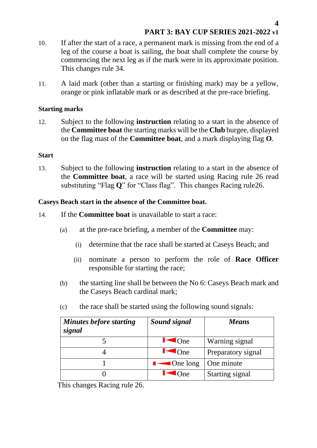- 10. If after the start of a race, a permanent mark is missing from the end of a leg of the course a boat is sailing, the boat shall complete the course by commencing the next leg as if the mark were in its approximate position. This changes rule 34.
- 11. A laid mark (other than a starting or finishing mark) may be a yellow, orange or pink inflatable mark or as described at the pre-race briefing.

### <span id="page-3-0"></span>**Starting marks**

12. Subject to the following **instruction** relating to a start in the absence of the **Committee boat** the starting marks will be the **Club** burgee, displayed on the flag mast of the **Committee boat**, and a mark displaying flag **O**.

### <span id="page-3-1"></span>**Start**

13. Subject to the following **instruction** relating to a start in the absence of the **Committee boat**, a race will be started using Racing rule 26 read substituting "Flag **Q**" for "Class flag". This changes Racing rule26.

## <span id="page-3-2"></span>**Caseys Beach start in the absence of the Committee boat.**

- 14. If the **Committee boat** is unavailable to start a race:
	- (a) at the pre-race briefing, a member of the **Committee** may:
		- (i) determine that the race shall be started at Caseys Beach; and
		- (ii) nominate a person to perform the role of **Race Officer** responsible for starting the race;
	- (b) the starting line shall be between the No 6: Caseys Beach mark and the Caseys Beach cardinal mark;
	- (c) the race shall be started using the following sound signals:

| <b>Minutes before starting</b><br>signal | Sound signal            | <b>Means</b>       |
|------------------------------------------|-------------------------|--------------------|
|                                          | $\overline{\rm l}$ One  | Warning signal     |
|                                          | One                     | Preparatory signal |
|                                          | $\blacksquare$ One long | One minute         |
|                                          | )ne                     | Starting signal    |

This changes Racing rule 26.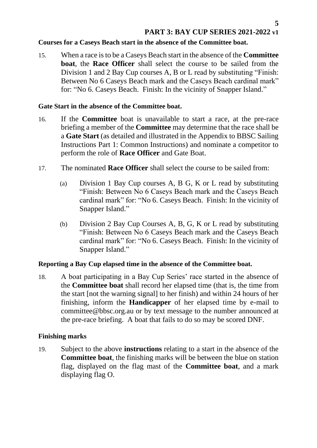## <span id="page-4-0"></span>**Courses for a Caseys Beach start in the absence of the Committee boat.**

15. When a race is to be a Caseys Beach start in the absence of the **Committee boat**, the **Race Officer** shall select the course to be sailed from the Division 1 and 2 Bay Cup courses A, B or L read by substituting "Finish: Between No 6 Caseys Beach mark and the Caseys Beach cardinal mark" for: "No 6. Caseys Beach. Finish: In the vicinity of Snapper Island."

### <span id="page-4-1"></span>**Gate Start in the absence of the Committee boat.**

- 16. If the **Committee** boat is unavailable to start a race, at the pre-race briefing a member of the **Committee** may determine that the race shall be a **Gate Start** (as detailed and illustrated in the Appendix to BBSC Sailing Instructions Part 1: Common Instructions) and nominate a competitor to perform the role of **Race Officer** and Gate Boat.
- 17. The nominated **Race Officer** shall select the course to be sailed from:
	- (a) Division 1 Bay Cup courses A, B G, K or L read by substituting "Finish: Between No 6 Caseys Beach mark and the Caseys Beach cardinal mark" for: "No 6. Caseys Beach. Finish: In the vicinity of Snapper Island."
	- (b) Division 2 Bay Cup Courses A, B, G, K or L read by substituting "Finish: Between No 6 Caseys Beach mark and the Caseys Beach cardinal mark" for: "No 6. Caseys Beach. Finish: In the vicinity of Snapper Island."

## <span id="page-4-2"></span>**Reporting a Bay Cup elapsed time in the absence of the Committee boat.**

18. A boat participating in a Bay Cup Series' race started in the absence of the **Committee boat** shall record her elapsed time (that is, the time from the start [not the warning signal] to her finish) and within 24 hours of her finishing, inform the **Handicapper** of her elapsed time by e-mail to committee@bbsc.org.au or by text message to the number announced at the pre-race briefing. A boat that fails to do so may be scored DNF.

### <span id="page-4-3"></span>**Finishing marks**

19. Subject to the above **instructions** relating to a start in the absence of the **Committee boat**, the finishing marks will be between the blue on station flag, displayed on the flag mast of the **Committee boat**, and a mark displaying flag O.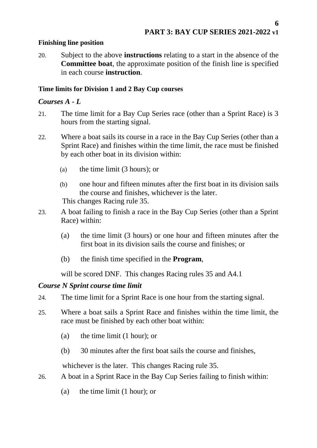## <span id="page-5-0"></span>**Finishing line position**

20. Subject to the above **instructions** relating to a start in the absence of the **Committee boat**, the approximate position of the finish line is specified in each course **instruction**.

## <span id="page-5-1"></span>**Time limits for Division 1 and 2 Bay Cup courses**

# <span id="page-5-2"></span>*Courses A - L*

- 21. The time limit for a Bay Cup Series race (other than a Sprint Race) is 3 hours from the starting signal.
- 22. Where a boat sails its course in a race in the Bay Cup Series (other than a Sprint Race) and finishes within the time limit, the race must be finished by each other boat in its division within:
	- (a) the time limit (3 hours); or
	- (b) one hour and fifteen minutes after the first boat in its division sails the course and finishes, whichever is the later. This changes Racing rule 35.
- 23. A boat failing to finish a race in the Bay Cup Series (other than a Sprint Race) within:
	- (a) the time limit (3 hours) or one hour and fifteen minutes after the first boat in its division sails the course and finishes; or
	- (b) the finish time specified in the **Program**,

will be scored DNF. This changes Racing rules 35 and A4.1

# <span id="page-5-3"></span>*Course N Sprint course time limit*

- 24. The time limit for a Sprint Race is one hour from the starting signal.
- 25. Where a boat sails a Sprint Race and finishes within the time limit, the race must be finished by each other boat within:
	- (a) the time limit (1 hour); or
	- (b) 30 minutes after the first boat sails the course and finishes,

whichever is the later. This changes Racing rule 35.

- 26. A boat in a Sprint Race in the Bay Cup Series failing to finish within:
	- (a) the time limit (1 hour); or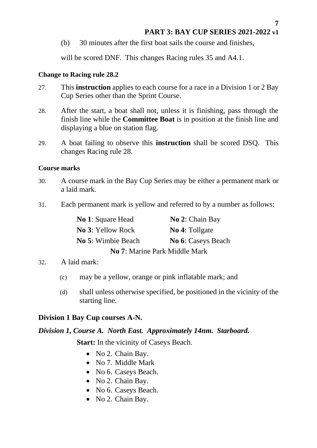(b) 30 minutes after the first boat sails the course and finishes,

will be scored DNF. This changes Racing rules 35 and A4.1.

## <span id="page-6-0"></span>**Change to Racing rule 28.2**

- 27. This **instruction** applies to each course for a race in a Division 1 or 2 Bay Cup Series other than the Sprint Course.
- 28. After the start, a boat shall not, unless it is finishing, pass through the finish line while the **Committee Boat** is in position at the finish line and displaying a blue on station flag.
- 29. A boat failing to observe this **instruction** shall be scored DSQ. This changes Racing rule 28.

## <span id="page-6-1"></span>**Course marks**

- 30. A course mark in the Bay Cup Series may be either a permanent mark or a laid mark.
- 31. Each permanent mark is yellow and referred to by a number as follows:

| <b>No 1: Square Head</b>      | No 2: Chain Bay       |  |  |  |
|-------------------------------|-----------------------|--|--|--|
| <b>No 3: Yellow Rock</b>      | <b>No 4:</b> Tollgate |  |  |  |
| No 5: Wimbie Beach            | No 6: Caseys Beach    |  |  |  |
| No 7: Marine Park Middle Mark |                       |  |  |  |

## 32. A laid mark:

- (c) may be a yellow, orange or pink inflatable mark; and
- (d) shall unless otherwise specified, be positioned in the vicinity of the starting line.

# <span id="page-6-2"></span>**Division 1 Bay Cup courses A-N.**

# <span id="page-6-3"></span>*Division 1, Course A. North East. Approximately 14nm. Starboard.*

**Start:** In the vicinity of Caseys Beach.

- No 2. Chain Bay.
- No 7. Middle Mark
- No 6. Caseys Beach.
- No 2. Chain Bay.
- No 6. Caseys Beach.
- No 2. Chain Bay.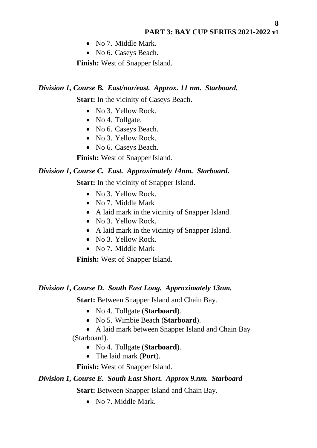- No 7. Middle Mark.
- No 6. Caseys Beach.

**Finish:** West of Snapper Island.

#### <span id="page-7-0"></span>*Division 1, Course B. East/nor/east. Approx. 11 nm. Starboard.*

**Start:** In the vicinity of Caseys Beach.

- No 3. Yellow Rock.
- No 4. Tollgate.
- No 6. Caseys Beach.
- No 3. Yellow Rock.
- No 6. Caseys Beach.

**Finish:** West of Snapper Island.

#### <span id="page-7-1"></span>*Division 1, Course C. East. Approximately 14nm. Starboard.*

**Start:** In the vicinity of Snapper Island.

- No 3. Yellow Rock.
- No 7. Middle Mark
- A laid mark in the vicinity of Snapper Island.
- No 3. Yellow Rock.
- A laid mark in the vicinity of Snapper Island.
- No 3. Yellow Rock.
- No 7. Middle Mark

**Finish:** West of Snapper Island.

#### <span id="page-7-2"></span>*Division 1, Course D. South East Long. Approximately 13nm.*

**Start:** Between Snapper Island and Chain Bay.

- No 4. Tollgate (**Starboard**).
- No 5. Wimbie Beach (**Starboard**).
- A laid mark between Snapper Island and Chain Bay (Starboard).
	- No 4. Tollgate (**Starboard**).
	- The laid mark (**Port**).

**Finish:** West of Snapper Island.

#### <span id="page-7-3"></span>*Division 1, Course E. South East Short. Approx 9.nm. Starboard*

**Start:** Between Snapper Island and Chain Bay.

• No 7. Middle Mark.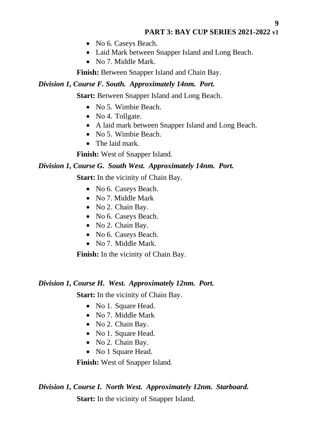- No 6. Caseys Beach.
- Laid Mark between Snapper Island and Long Beach.
- No 7. Middle Mark.

**Finish:** Between Snapper Island and Chain Bay.

### <span id="page-8-0"></span>*Division 1, Course F. South. Approximately 14nm. Port.*

**Start:** Between Snapper Island and Long Beach.

- No 5. Wimbie Beach.
- No 4. Tollgate.
- A laid mark between Snapper Island and Long Beach.
- No 5. Wimbie Beach.
- The laid mark.

**Finish:** West of Snapper Island.

## <span id="page-8-1"></span>*Division 1, Course G. South West. Approximately 14nm. Port.*

**Start:** In the vicinity of Chain Bay.

- No 6. Caseys Beach.
- No 7. Middle Mark
- No 2. Chain Bay.
- No 6. Caseys Beach.
- No 2. Chain Bay.
- No 6. Caseys Beach.
- No 7. Middle Mark.

**Finish:** In the vicinity of Chain Bay.

### <span id="page-8-2"></span>*Division 1, Course H. West. Approximately 12nm. Port.*

**Start:** In the vicinity of Chain Bay.

- No 1. Square Head.
- No 7. Middle Mark
- No 2. Chain Bay.
- No 1. Square Head.
- No 2. Chain Bay.
- No 1 Square Head.

**Finish:** West of Snapper Island.

### <span id="page-8-3"></span>*Division 1, Course I. North West. Approximately 12nm. Starboard.*

**Start:** In the vicinity of Snapper Island.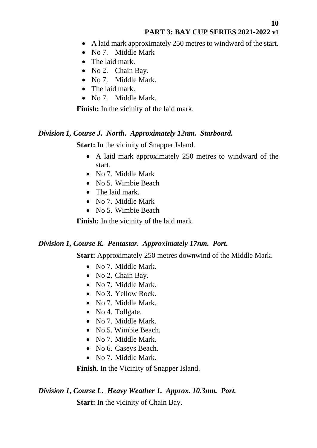- A laid mark approximately 250 metres to windward of the start.
- No 7. Middle Mark
- The laid mark.
- No 2. Chain Bay.
- No 7. Middle Mark.
- The laid mark.
- No 7. Middle Mark.

**Finish:** In the vicinity of the laid mark.

## <span id="page-9-0"></span>*Division 1, Course J. North. Approximately 12nm. Starboard.*

**Start:** In the vicinity of Snapper Island.

- A laid mark approximately 250 metres to windward of the start.
- No 7. Middle Mark
- No 5. Wimbie Beach
- The laid mark.
- No 7. Middle Mark
- No 5. Wimbie Beach

**Finish:** In the vicinity of the laid mark.

## <span id="page-9-1"></span>*Division 1, Course K. Pentastar. Approximately 17nm. Port.*

**Start:** Approximately 250 metres downwind of the Middle Mark.

- No 7. Middle Mark.
- No 2. Chain Bay.
- No 7. Middle Mark.
- No 3. Yellow Rock.
- No 7. Middle Mark.
- No 4. Tollgate.
- No 7. Middle Mark.
- No. 5. Wimbie Beach.
- No 7. Middle Mark.
- No 6. Caseys Beach.
- No 7. Middle Mark.

**Finish**. In the Vicinity of Snapper Island.

## <span id="page-9-2"></span>*Division 1, Course L. Heavy Weather 1. Approx. 10.3nm. Port.*

**Start:** In the vicinity of Chain Bay.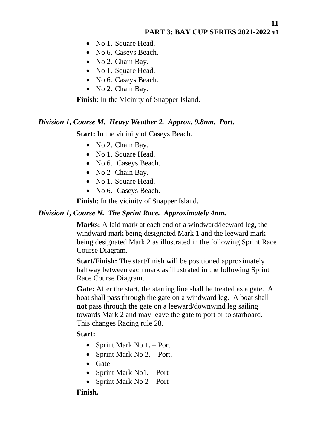- No 1. Square Head.
- No 6. Caseys Beach.
- No 2. Chain Bay.
- No 1. Square Head.
- No 6. Caseys Beach.
- No 2. Chain Bay.

**Finish**: In the Vicinity of Snapper Island.

#### <span id="page-10-0"></span>*Division 1, Course M. Heavy Weather 2. Approx. 9.8nm. Port.*

**Start:** In the vicinity of Caseys Beach.

- No 2. Chain Bay.
- No 1. Square Head.
- No 6. Caseys Beach.
- No 2 Chain Bay.
- No 1. Square Head.
- No 6. Caseys Beach.

**Finish**: In the vicinity of Snapper Island.

#### <span id="page-10-1"></span>*Division 1, Course N. The Sprint Race. Approximately 4nm.*

**Marks:** A laid mark at each end of a windward/leeward leg, the windward mark being designated Mark 1 and the leeward mark being designated Mark 2 as illustrated in the following Sprint Race Course Diagram.

**Start/Finish:** The start/finish will be positioned approximately halfway between each mark as illustrated in the following Sprint Race Course Diagram.

**Gate:** After the start, the starting line shall be treated as a gate. A boat shall pass through the gate on a windward leg. A boat shall **not** pass through the gate on a leeward/downwind leg sailing towards Mark 2 and may leave the gate to port or to starboard. This changes Racing rule 28.

#### **Start:**

- Sprint Mark No 1. Port
- Sprint Mark No 2. Port.
- Gate
- Sprint Mark No1. Port
- Sprint Mark No  $2 -$  Port

#### **Finish.**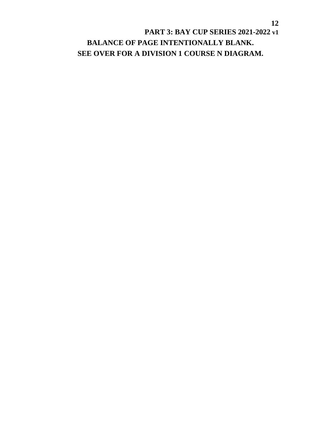# **PART 3: BAY CUP SERIES 2021-2022 v1 BALANCE OF PAGE INTENTIONALLY BLANK. SEE OVER FOR A DIVISION 1 COURSE N DIAGRAM.**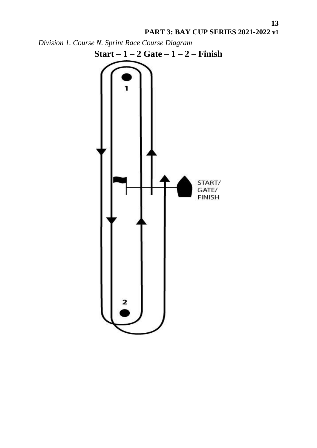

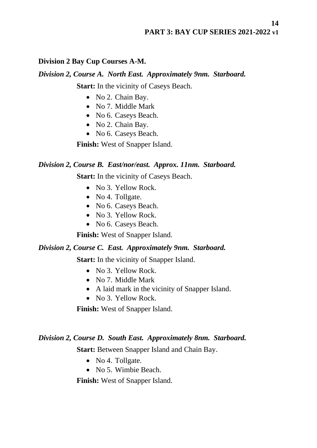## <span id="page-13-0"></span>**Division 2 Bay Cup Courses A-M.**

## <span id="page-13-1"></span>*Division 2, Course A. North East. Approximately 9nm. Starboard.*

**Start:** In the vicinity of Caseys Beach.

- No 2. Chain Bay.
- No 7. Middle Mark
- No 6. Caseys Beach.
- No 2. Chain Bay.
- No 6. Caseys Beach.

**Finish:** West of Snapper Island.

## <span id="page-13-2"></span>*Division 2, Course B. East/nor/east. Approx. 11nm. Starboard.*

**Start:** In the vicinity of Caseys Beach.

- No 3. Yellow Rock.
- No 4. Tollgate.
- No 6. Caseys Beach.
- No 3. Yellow Rock.
- No 6. Caseys Beach.

**Finish:** West of Snapper Island.

## <span id="page-13-3"></span>*Division 2, Course C. East. Approximately 9nm. Starboard.*

**Start:** In the vicinity of Snapper Island.

- No 3. Yellow Rock.
- No 7. Middle Mark
- A laid mark in the vicinity of Snapper Island.
- No 3. Yellow Rock.

**Finish:** West of Snapper Island.

## <span id="page-13-4"></span>*Division 2, Course D. South East. Approximately 8nm. Starboard.*

**Start:** Between Snapper Island and Chain Bay.

- No 4. Tollgate.
- No 5. Wimbie Beach.

**Finish:** West of Snapper Island.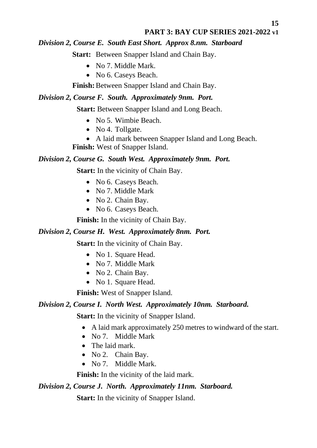## <span id="page-14-0"></span>*Division 2, Course E. South East Short. Approx 8.nm. Starboard*

**Start:** Between Snapper Island and Chain Bay.

- No 7. Middle Mark.
- No 6. Caseys Beach.

**Finish:**Between Snapper Island and Chain Bay.

## <span id="page-14-1"></span>*Division 2, Course F. South. Approximately 9nm. Port.*

**Start:** Between Snapper Island and Long Beach.

- No 5. Wimbie Beach.
- No 4. Tollgate.
- A laid mark between Snapper Island and Long Beach.

**Finish:** West of Snapper Island.

## <span id="page-14-2"></span>*Division 2, Course G. South West. Approximately 9nm. Port.*

**Start:** In the vicinity of Chain Bay.

- No 6. Caseys Beach.
- No 7. Middle Mark
- No 2. Chain Bay.
- No 6. Caseys Beach.

**Finish:** In the vicinity of Chain Bay.

## <span id="page-14-3"></span>*Division 2, Course H. West. Approximately 8nm. Port.*

**Start:** In the vicinity of Chain Bay.

- No 1. Square Head.
- No 7. Middle Mark
- No 2. Chain Bay.
- No 1. Square Head.

**Finish:** West of Snapper Island.

## <span id="page-14-4"></span>*Division 2, Course I. North West. Approximately 10nm. Starboard.*

**Start:** In the vicinity of Snapper Island.

- A laid mark approximately 250 metres to windward of the start.
- No 7. Middle Mark
- The laid mark.
- No 2. Chain Bay.
- No 7. Middle Mark.

**Finish:** In the vicinity of the laid mark.

<span id="page-14-5"></span>*Division 2, Course J. North. Approximately 11nm. Starboard.*

**Start:** In the vicinity of Snapper Island.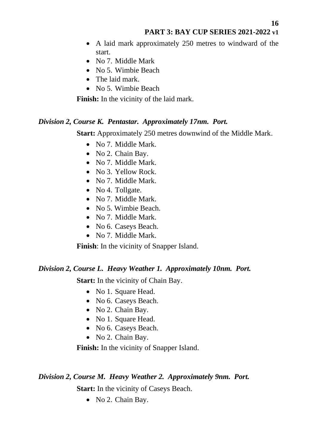- A laid mark approximately 250 metres to windward of the start.
- No 7. Middle Mark
- No 5. Wimbie Beach
- The laid mark.
- No 5. Wimbie Beach

**Finish:** In the vicinity of the laid mark.

#### <span id="page-15-0"></span>*Division 2, Course K. Pentastar. Approximately 17nm. Port.*

**Start:** Approximately 250 metres downwind of the Middle Mark.

- No 7. Middle Mark.
- No 2. Chain Bay.
- No 7. Middle Mark.
- No 3. Yellow Rock.
- No 7. Middle Mark.
- No 4. Tollgate.
- No 7. Middle Mark.
- No. 5. Wimbie Beach.
- No 7. Middle Mark.
- No 6. Caseys Beach.
- No 7. Middle Mark.

**Finish**: In the vicinity of Snapper Island.

#### <span id="page-15-1"></span>*Division 2, Course L. Heavy Weather 1. Approximately 10nm. Port.*

**Start:** In the vicinity of Chain Bay.

- No 1. Square Head.
- No 6. Caseys Beach.
- No 2. Chain Bay.
- No 1. Square Head.
- No 6. Caseys Beach.
- No 2. Chain Bay.

**Finish:** In the vicinity of Snapper Island.

### <span id="page-15-2"></span>*Division 2, Course M. Heavy Weather 2. Approximately 9nm. Port.*

**Start:** In the vicinity of Caseys Beach.

• No 2. Chain Bay.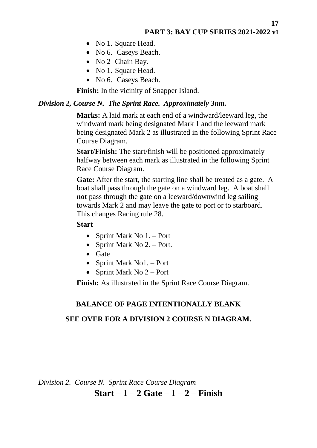- No 1. Square Head.
- No 6. Caseys Beach.
- No 2 Chain Bay.
- No 1. Square Head.
- No 6. Caseys Beach.

**Finish:** In the vicinity of Snapper Island.

#### <span id="page-16-0"></span>*Division 2, Course N. The Sprint Race. Approximately 3nm.*

**Marks:** A laid mark at each end of a windward/leeward leg, the windward mark being designated Mark 1 and the leeward mark being designated Mark 2 as illustrated in the following Sprint Race Course Diagram.

**Start/Finish:** The start/finish will be positioned approximately halfway between each mark as illustrated in the following Sprint Race Course Diagram.

Gate: After the start, the starting line shall be treated as a gate. A boat shall pass through the gate on a windward leg. A boat shall **not** pass through the gate on a leeward/downwind leg sailing towards Mark 2 and may leave the gate to port or to starboard. This changes Racing rule 28.

#### **Start**

- Sprint Mark No 1. Port
- Sprint Mark No  $2. -$  Port.
- Gate
- Sprint Mark No1. Port
- Sprint Mark No  $2 -$  Port

**Finish:** As illustrated in the Sprint Race Course Diagram.

#### **BALANCE OF PAGE INTENTIONALLY BLANK**

#### **SEE OVER FOR A DIVISION 2 COURSE N DIAGRAM.**